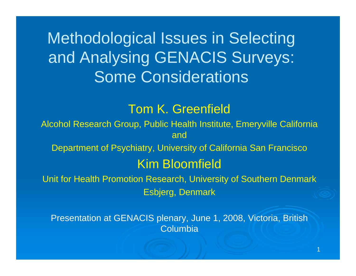Methodological Issues in Selecting and Analysing GENACIS Surveys: Some Considerations

### Tom K. Greenfield

Alcohol Research Group, Public Health Institute, Emeryville California and

Department of Psychiatry, University of California San Francisco

#### Kim Bloomfield

Unit for Health Promotion Research, University of Southern Denmark Esbjerg, Denmark

Presentation at GENACIS plenary, June 1, 2008, Victoria, British **Columbia** 

1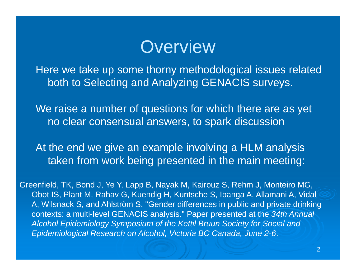### **Overview**

Here we take up some thorny methodological issues related both to Selecting and Analyzing GENACIS surveys.

We raise a number of questions for which there are as yet no clear consensual answers, to spark discussion

At the end we give an example involving a HLM analysis taken from work being presented in the main meeting:

Greenfield, TK, Bond J, Ye Y, Lapp B, Nayak M, Kairouz S, Rehm J, Monteiro MG, Obot IS, Plant M, Rahav G, Kuendig H, Kuntsche S, Ibanga A, Allamani A, Vidal A, Wilsnack S, and Ahlström S. "Gender differences in public and private drinking contexts: a multi-level GENACIS analysis." Paper presented at the *34th Annual Alcohol Epidemiology Symposium of the Kettil Bruun Society for Social and Epidemiological Research on Alcohol, Victoria BC Canada, June 2-6*.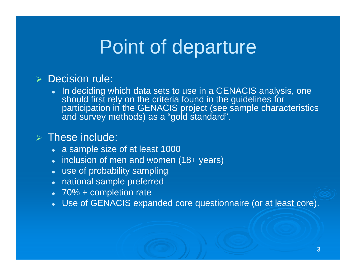### Point of departure

#### **> Decision rule:**

 $\bullet$  In deciding which data sets to use in a GENACIS analysis, one should first rely on the criteria found in the guidelines for participation in the GENACIS project (see sample characteristics and survey methods) as a "gold standard".

#### $\triangleright$  These include:

- a sample size of at least 1000
- inclusion of men and women (18+ years)
- use of probability sampling
- national sample preferred
- 70% + completion rate
- Use of GENACIS expanded core questionnaire (or at least core).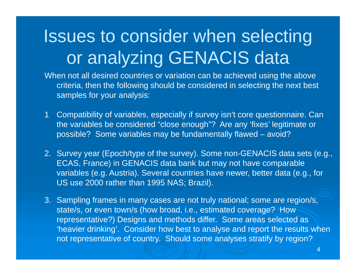- When not all desired countries or variation can be achieved using the above criteria, then the following should be considered in selecting the next best samples for your analysis:
- 1 Compatibility of variables, especially if survey isn't core questionnaire. Can the variables be considered "close enough"? Are any 'fixes' legitimate or possible? Some variables may be fundamentally flawed – avoid?
- 2. Survey year (Epoch/type of the survey). Some non-GENACIS data sets (e.g., ECAS, France) in GENACIS data bank but may not have comparable variables (e.g. Austria). Several countries have newer, better data (e.g., for US use 2000 rather than 1995 NAS; Brazil).
- 3. Sampling frames in many cases are not truly national; some are region/s, state/s, or even town/s (how broad, i.e., estimated coverage? How representative?) Designs and methods differ. Some areas selected as 'heavier drinking'. Consider how best to analyse and report the results when not representative of country. Should some analyses stratify by region?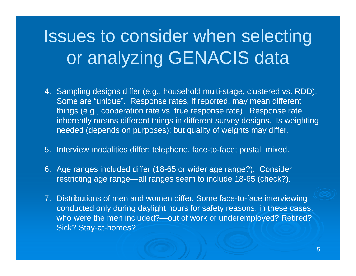- 4. Sampling designs differ (e.g., household multi-stage, clustered vs. RDD). Some are "unique". Response rates, if reported, may mean different things (e.g., cooperation rate vs. true response rate). Response rate inherently means different things in different survey designs. Is weighting needed (depends on purposes); but quality of weights may differ.
- 5. Interview modalities differ: telephone, face-to-face; postal; mixed.
- 6. Age ranges included differ (18-65 or wider age range?). Consider restricting age range—all ranges seem to include 18-65 (check?).
- 7. Distributions of men and women differ. Some face-to-face interviewing conducted only during daylight hours for safety reasons; in these cases, who were the men included?—out of work or underemployed? Retired? Sick? Stay-at-homes?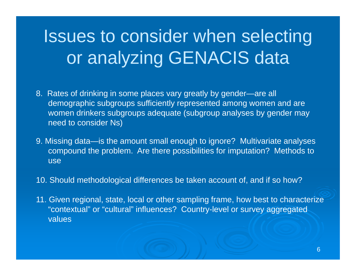- 8. Rates of drinking in some places vary greatly by gender—are all demographic subgroups sufficiently represented among women and are women drinkers subgroups adequate (subgroup analyses by gender may need to consider Ns)
- 9. Missing data—is the amount small enough to ignore? Multivariate analyses compound the problem. Are there possibilities for imputation? Methods to use
- 10. Should methodological differences be taken account of, and if so how?
- 11. Given regional, state, local or other sampling frame, how best to characterize "contextual" or "cultural" influences? Country-level or survey aggregated values